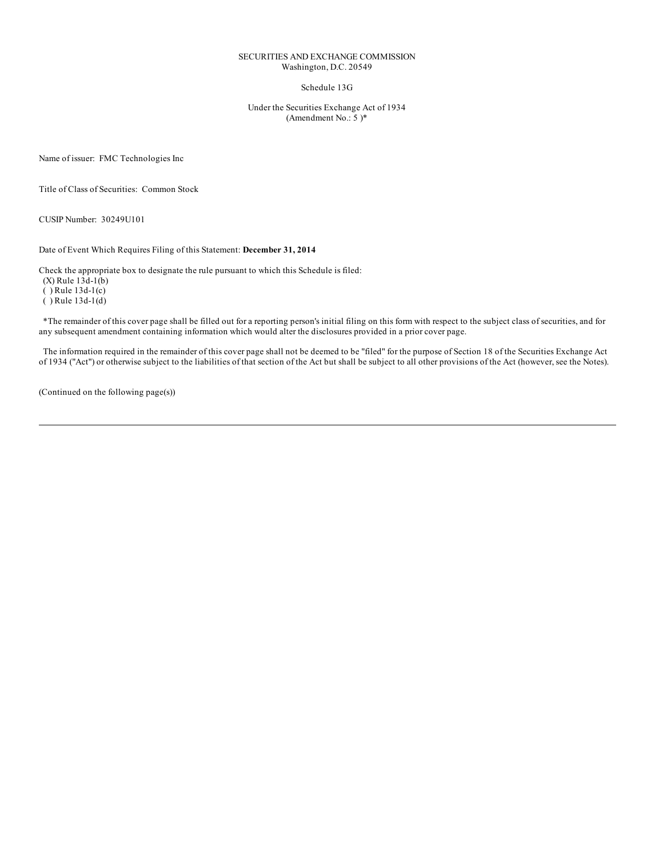#### SECURITIES AND EXCHANGE COMMISSION Washington, D.C. 20549

Schedule 13G

Under the Securities Exchange Act of 1934 (Amendment No.: 5 )\*

Name of issuer: FMC Technologies Inc

Title of Class of Securities: Common Stock

CUSIP Number: 30249U101

Date of Event Which Requires Filing of this Statement: **December 31, 2014**

Check the appropriate box to designate the rule pursuant to which this Schedule is filed:

 $(X)$  Rule  $13d-1(b)$ 

( ) Rule 13d-1(c)

 $()$  Rule 13d-1 $(d)$ 

\*The remainder of this cover page shall be filled out for a reporting person's initial filing on this form with respect to the subject class of securities, and for any subsequent amendment containing information which would alter the disclosures provided in a prior cover page.

The information required in the remainder of this cover page shall not be deemed to be "filed" for the purpose of Section 18 of the Securities Exchange Act of 1934 ("Act") or otherwise subject to the liabilities of that section of the Act but shall be subject to all other provisions of the Act (however, see the Notes).

(Continued on the following page(s))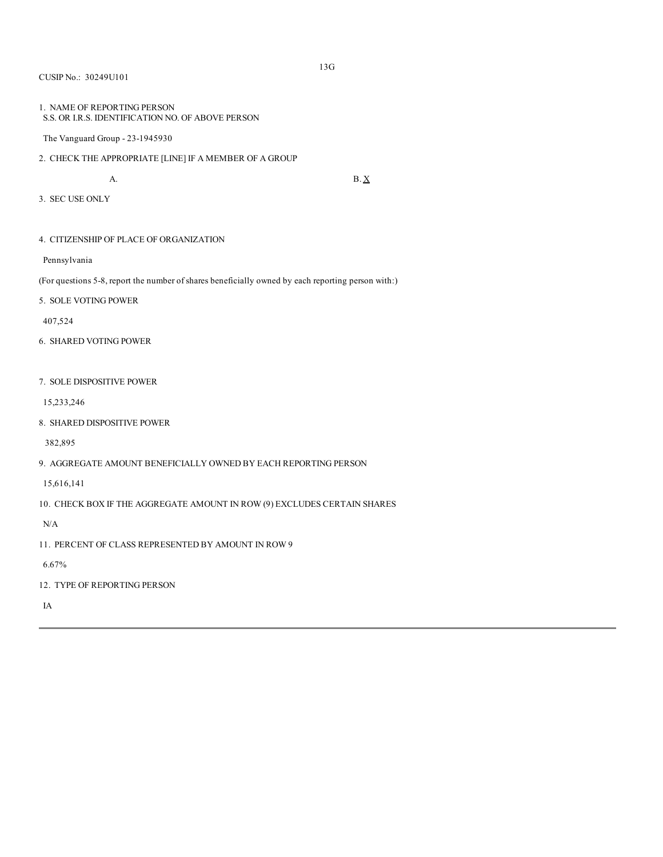### CUSIP No.: 30249U101

## 1. NAME OF REPORTING PERSON S.S. OR I.R.S. IDENTIFICATION NO. OF ABOVE PERSON

The Vanguard Group - 23-1945930

- 2. CHECK THE APPROPRIATE [LINE] IF A MEMBER OF A GROUP
	-

A. B.  $\underline{X}$ 

- 3. SEC USE ONLY
- 4. CITIZENSHIP OF PLACE OF ORGANIZATION

Pennsylvania

(For questions 5-8, report the number of shares beneficially owned by each reporting person with:)

5. SOLE VOTING POWER

407,524

- 6. SHARED VOTING POWER
- 7. SOLE DISPOSITIVE POWER

15,233,246

8. SHARED DISPOSITIVE POWER

382,895

9. AGGREGATE AMOUNT BENEFICIALLY OWNED BY EACH REPORTING PERSON

15,616,141

10. CHECK BOX IF THE AGGREGATE AMOUNT IN ROW (9) EXCLUDES CERTAIN SHARES

N/A

11. PERCENT OF CLASS REPRESENTED BY AMOUNT IN ROW 9

6.67%

12. TYPE OF REPORTING PERSON

IA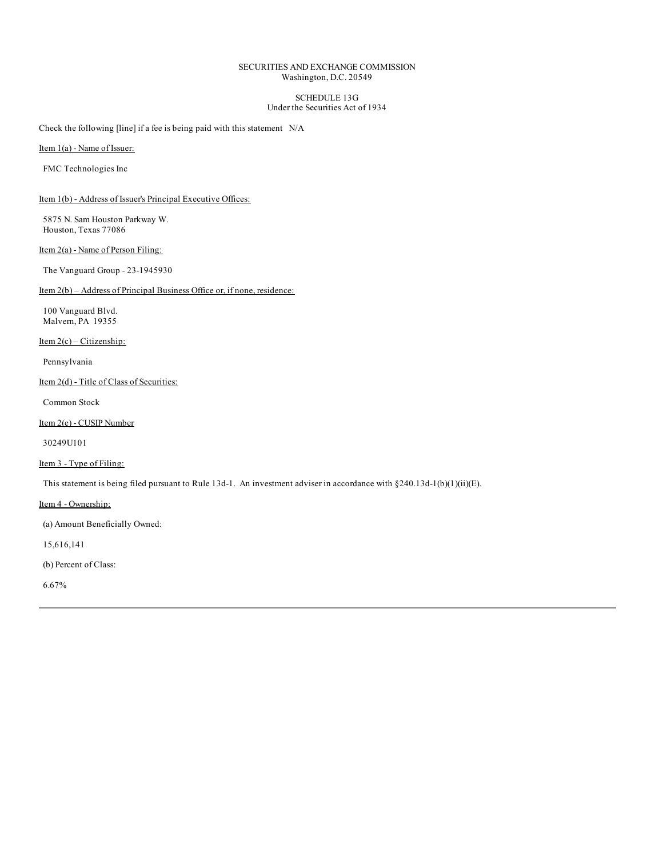## SECURITIES AND EXCHANGE COMMISSION Washington, D.C. 20549

#### SCHEDULE 13G Under the Securities Act of 1934

Check the following [line] if a fee is being paid with this statement N/A

Item 1(a) - Name of Issuer:

FMC Technologies Inc

Item 1(b) - Address of Issuer's Principal Executive Offices:

5875 N. Sam Houston Parkway W. Houston, Texas 77086

Item 2(a) - Name of Person Filing:

The Vanguard Group - 23-1945930

Item 2(b) – Address of Principal Business Office or, if none, residence:

100 Vanguard Blvd. Malvern, PA 19355

Item  $2(c)$  – Citizenship:

Pennsylvania

Item 2(d) - Title of Class of Securities:

Common Stock

Item 2(e) - CUSIP Number

30249U101

# Item 3 - Type of Filing:

This statement is being filed pursuant to Rule 13d-1. An investment adviser in accordance with §240.13d-1(b)(1)(ii)(E).

Item 4 - Ownership:

(a) Amount Beneficially Owned:

15,616,141

(b) Percent of Class:

6.67%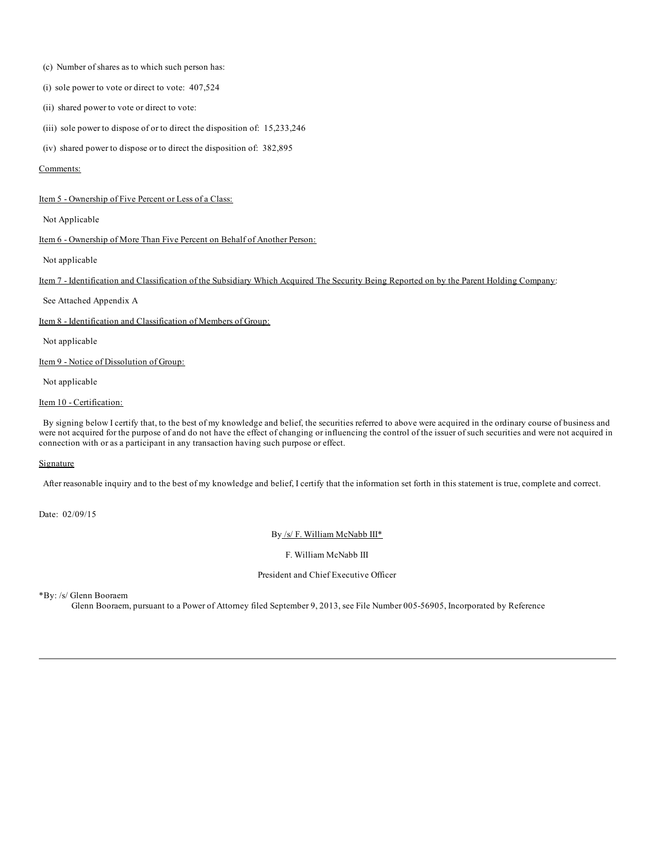- (c) Number of shares as to which such person has:
- (i) sole power to vote or direct to vote: 407,524
- (ii) shared power to vote or direct to vote:
- (iii) sole power to dispose of or to direct the disposition of: 15,233,246
- (iv) shared power to dispose or to direct the disposition of: 382,895

#### Comments:

#### Item 5 - Ownership of Five Percent or Less of a Class:

Not Applicable

Item 6 - Ownership of More Than Five Percent on Behalf of Another Person:

Not applicable

Item 7 - Identification and Classification of the Subsidiary Which Acquired The Security Being Reported on by the Parent Holding Company:

See Attached Appendix A

Item 8 - Identification and Classification of Members of Group:

Not applicable

Item 9 - Notice of Dissolution of Group:

Not applicable

#### Item 10 - Certification:

By signing below I certify that, to the best of my knowledge and belief, the securities referred to above were acquired in the ordinary course of business and were not acquired for the purpose of and do not have the effect of changing or influencing the control of the issuer of such securities and were not acquired in connection with or as a participant in any transaction having such purpose or effect.

## Signature

After reasonable inquiry and to the best of my knowledge and belief, I certify that the information set forth in this statement is true, complete and correct.

Date: 02/09/15

By /s/ F. William McNabb III\*

F. William McNabb III

# President and Chief Executive Officer

\*By: /s/ Glenn Booraem

Glenn Booraem, pursuant to a Power of Attorney filed September 9, 2013, see File Number 005-56905, Incorporated by Reference